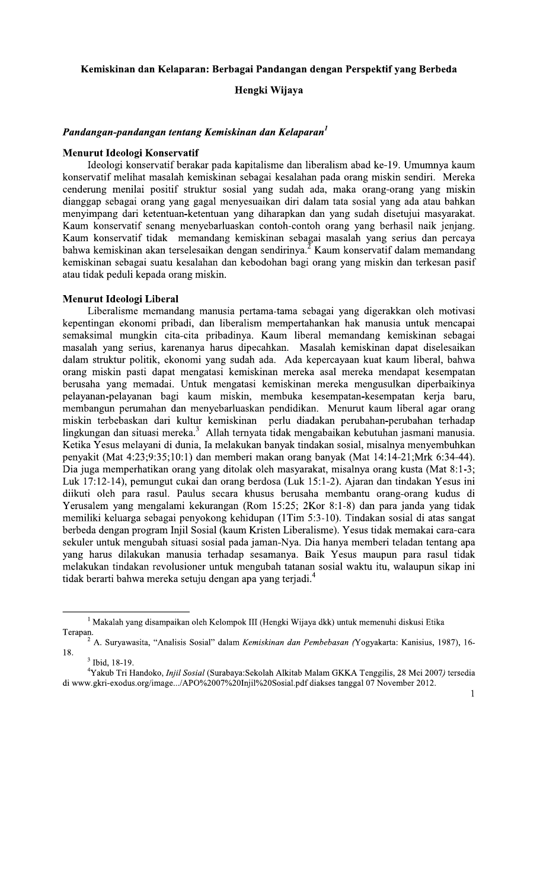## Kemiskinan dan Kelaparan: Berbagai Pandangan dengan Perspektif yang Berbeda

Hengki Wijaya

# Pandangan-pandangan tentang Kemiskinan dan Kelaparan<sup>1</sup>

### Menurut Ideologi Konservatif

Ideologi konservatif berakar pada kapitalisme dan liberalism abad ke-19. Umumnya kaum konservatif melihat masalah kemiskinan sebagai kesalahan pada orang miskin sendiri. Mereka cenderung menilai positif struktur sosial yang sudah ada, maka orang-orang yang miskin dianggap sebagai orang yang gagal menyesuaikan diri dalam tata sosial yang ada atau bahkan menyimpang dari ketentuan-ketentuan yang diharapkan dan yang sudah disetujui masyarakat. Kaum konservatif senang menyebarluaskan contoh-contoh orang yang berhasil naik jenjang. Kaum konservatif tidak memandang kemiskinan sebagai masalah yang serius dan percaya bahwa kemiskinan akan terselesaikan dengan sendirinya.<sup>2</sup> Kaum konservatif dalam memandang kemiskinan sebagai suatu kesalahan dan kebodohan bagi orang yang miskin dan terkesan pasif atau tidak peduli kepada orang miskin.

## **Menurut Ideologi Liberal**

Liberalisme memandang manusia pertama-tama sebagai yang digerakkan oleh motivasi kepentingan ekonomi pribadi, dan liberalism mempertahankan hak manusia untuk mencapai semaksimal mungkin cita-cita pribadinya. Kaum liberal memandang kemiskinan sebagai masalah yang serius, karenanya harus dipecahkan. Masalah kemiskinan dapat diselesaikan dalam struktur politik, ekonomi yang sudah ada. Ada kepercayaan kuat kaum liberal, bahwa orang miskin pasti dapat mengatasi kemiskinan mereka asal mereka mendapat kesempatan berusaha yang memadai. Untuk mengatasi kemiskinan mereka mengusulkan diperbaikinya pelayanan-pelayanan bagi kaum miskin, membuka kesempatan-kesempatan kerja baru, membangun perumahan dan menyebarluaskan pendidikan. Menurut kaum liberal agar orang miskin terbebaskan dari kultur kemiskinan perlu diadakan perubahan-perubahan terhadap lingkungan dan situasi mereka.<sup>3</sup> Allah ternyata tidak mengabaikan kebutuhan jasmani manusia.<br>Ketika Yesus melayani di dunia, Ia melakukan banyak tindakan sosial, misalnya menyembuhkan penyakit (Mat 4:23;9:35;10:1) dan memberi makan orang banyak (Mat 14:14-21;Mrk 6:34-44). Dia juga memperhatikan orang yang ditolak oleh masyarakat, misalnya orang kusta (Mat 8:1-3; Luk 17:12-14), pemungut cukai dan orang berdosa (Luk 15:1-2). Ajaran dan tindakan Yesus ini diikuti oleh para rasul. Paulus secara khusus berusaha membantu orang-orang kudus di Yerusalem yang mengalami kekurangan (Rom 15:25; 2Kor 8:1-8) dan para janda yang tidak memiliki keluarga sebagai penyokong kehidupan (1Tim 5:3-10). Tindakan sosial di atas sangat berbeda dengan program Injil Sosial (kaum Kristen Liberalisme). Yesus tidak memakai cara-cara sekuler untuk mengubah situasi sosial pada jaman-Nya. Dia hanya memberi teladan tentang apa yang harus dilakukan manusia terhadap sesamanya. Baik Yesus maupun para rasul tidak melakukan tindakan revolusioner untuk mengubah tatanan sosial waktu itu, walaupun sikap ini tidak berarti bahwa mereka setuju dengan apa yang terjadi.<sup>4</sup>

<sup>&</sup>lt;sup>1</sup> Makalah yang disampaikan oleh Kelompok III (Hengki Wijaya dkk) untuk memenuhi diskusi Etika Terapan.

<sup>&</sup>lt;sup>2</sup> A. Suryawasita, "Analisis Sosial" dalam *Kemiskinan dan Pembebasan (Yogyakarta: Kanisius, 1987), 16-*18.

<sup>&</sup>lt;sup>3</sup> Ibid, 18-19.

<sup>&</sup>lt;sup>4</sup>Yakub Tri Handoko, *Injil Sosial* (Surabaya: Sekolah Alkitab Malam GKKA Tenggilis, 28 Mei 2007) tersedia di www.gkri-exodus.org/image.../APO%2007%20Injil%20Sosial.pdf diakses tanggal 07 November 2012.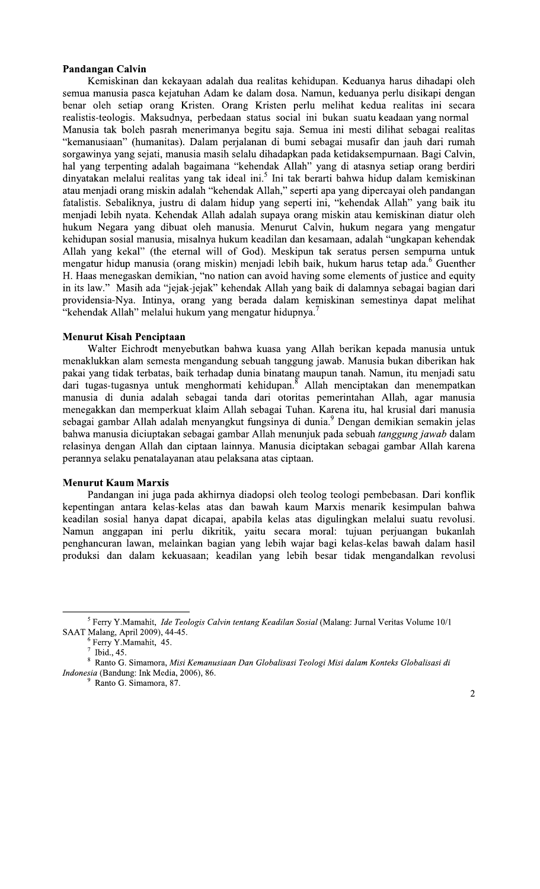## **Pandangan Calvin**

Kemiskinan dan kekayaan adalah dua realitas kehidupan. Keduanya harus dihadapi oleh semua manusia pasca kejatuhan Adam ke dalam dosa. Namun, keduanya perlu disikapi dengan benar oleh setiap orang Kristen. Orang Kristen perlu melihat kedua realitas ini secara realistis-teologis. Maksudnya, perbedaan status social ini bukan suatu keadaan yang normal Manusia tak boleh pasrah menerimanya begitu saja. Semua ini mesti dilihat sebagai realitas "kemanusiaan" (humanitas). Dalam perjalanan di bumi sebagai musafir dan jauh dari rumah sorgawinya yang sejati, manusia masih selalu dihadapkan pada ketidaksempurnaan. Bagi Calvin, hal yang terpenting adalah bagaimana "kehendak Allah" yang di atasnya setiap orang berdiri dinyatakan melalui realitas yang tak ideal ini.<sup>5</sup> Ini tak berarti bahwa hidup dalam kemiskinan atau menjadi orang miskin adalah "kehendak Allah," seperti apa yang dipercayai oleh pandangan fatalistis. Sebaliknya, justru di dalam hidup yang seperti ini, "kehendak Allah" yang baik itu menjadi lebih nyata. Kehendak Allah adalah supaya orang miskin atau kemiskinan diatur oleh hukum Negara yang dibuat oleh manusia. Menurut Calvin, hukum negara yang mengatur kehidupan sosial manusia, misalnya hukum keadilan dan kesamaan, adalah "ungkapan kehendak Allah yang kekal" (the eternal will of God). Meskipun tak seratus persen sempurna untuk mengatur hidup manusia (orang miskin) menjadi lebih baik, hukum harus tetap ada. Guenther H. Haas menegaskan demikian, "no nation can avoid having some elements of justice and equity in its law." Masih ada "jejak-jejak" kehendak Allah yang baik di dalamnya sebagai bagian dari providensia-Nya. Intinya, orang yang berada dalam kemiskinan semestinya dapat melihat "kehendak Allah" melalui hukum yang mengatur hidupnya.<sup>7</sup>

## **Menurut Kisah Penciptaan**

Walter Eichrodt menyebutkan bahwa kuasa yang Allah berikan kepada manusia untuk menaklukkan alam semesta mengandung sebuah tanggung jawab. Manusia bukan diberikan hak pakai yang tidak terbatas, baik terhadap dunia binatang maupun tanah. Namun, itu menjadi satu dari tugas-tugasnya untuk menghormati kehidupan. Allah menciptakan dan menempatkan manusia di dunia adalah sebagai tanda dari otoritas pemerintahan Allah, agar manusia menegakkan dan memperkuat klaim Allah sebagai Tuhan. Karena itu, hal krusial dari manusia sebagai gambar Allah adalah menyangkut fungsinya di dunia.<sup>9</sup> Dengan demikian semakin jelas bahwa manusia diciuptakan sebagai gambar Allah menunjuk pada sebuah tanggung jawab dalam relasinya dengan Allah dan ciptaan lainnya. Manusia diciptakan sebagai gambar Allah karena perannya selaku penatalayanan atau pelaksana atas ciptaan.

### **Menurut Kaum Marxis**

Pandangan ini juga pada akhirnya diadopsi oleh teolog teologi pembebasan. Dari konflik kepentingan antara kelas-kelas atas dan bawah kaum Marxis menarik kesimpulan bahwa keadilan sosial hanya dapat dicapai, apabila kelas atas digulingkan melalui suatu revolusi. Namun anggapan ini perlu dikritik, yaitu secara moral: tujuan perjuangan bukanlah penghancuran lawan, melainkan bagian yang lebih wajar bagi kelas-kelas bawah dalam hasil produksi dan dalam kekuasaan; keadilan yang lebih besar tidak mengandalkan revolusi

<sup>&</sup>lt;sup>5</sup> Ferry Y.Mamahit, *Ide Teologis Calvin tentang Keadilan Sosial* (Malang: Jurnal Veritas Volume 10/1 SAAT Malang, April 2009), 44-45.

<sup>&</sup>lt;sup>6</sup> Ferry Y.Mamahit, 45.

 $^7$  Ibid., 45.

 $^8$  Ranto G. Simamora, Misi Kemanusiaan Dan Globalisasi Teologi Misi dalam Konteks Globalisasi di Indonesia (Bandung: Ink Media, 2006), 86.

Ranto G. Simamora, 87.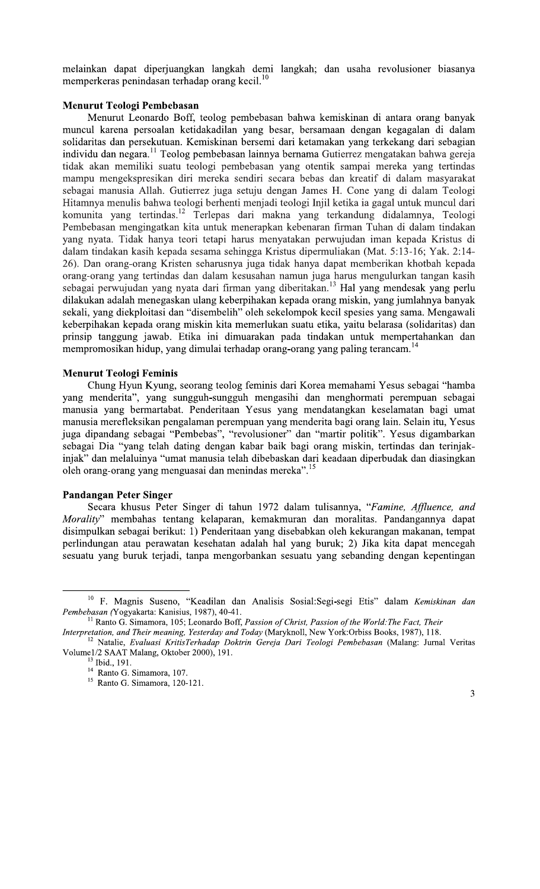melainkan dapat diperjuangkan langkah demi langkah; dan usaha revolusioner biasanya memperkeras penindasan terhadap orang kecil.<sup>10</sup>

## Menurut Teologi Pembebasan

Menurut Leonardo Boff, teolog pembebasan bahwa kemiskinan di antara orang banyak muncul karena persoalan ketidakadilan yang besar, bersamaan dengan kegagalan di dalam solidaritas dan persekutuan. Kemiskinan bersemi dari ketamakan yang terkekang dari sebagian individu dan negara.<sup>11</sup> Teolog pembebasan lainnya bernama Gutierrez mengatakan bahwa gereja tidak akan memiliki suatu teologi pembebasan yang otentik sampai mereka yang tertindas mampu mengekspresikan diri mereka sendiri secara bebas dan kreatif di dalam masyarakat sebagai manusia Allah. Gutierrez juga setuju dengan James H. Cone yang di dalam Teologi Hitamnya menulis bahwa teologi berhenti menjadi teologi Injil ketika ia gagal untuk muncul dari komunita yang tertindas.<sup>12</sup> Terlepas dari makna yang terkandung didalamnya, Teologi Pembebasan mengingatkan kita untuk menerapkan kebenaran firman Tuhan di dalam tindakan yang nyata. Tidak hanya teori tetapi harus menyatakan perwujudan iman kepada Kristus di dalam tindakan kasih kepada sesama sehingga Kristus dipermuliakan (Mat. 5:13-16; Yak. 2:14-26). Dan orang-orang Kristen seharusnya juga tidak hanya dapat memberikan khotbah kepada orang-orang yang tertindas dan dalam kesusahan namun juga harus mengulurkan tangan kasih sebagai perwujudan yang nyata dari firman yang diberitakan.<sup>13</sup> Hal yang mendesak yang perlu dilakukan adalah menegaskan ulang keberpihakan kepada orang miskin, yang jumlahnya banyak sekali, yang diekploitasi dan "disembelih" oleh sekelompok kecil spesies yang sama. Mengawali keberpihakan kepada orang miskin kita memerlukan suatu etika, yaitu belarasa (solidaritas) dan prinsip tanggung jawab. Etika ini dimuarakan pada tindakan untuk mempertahankan dan mempromosikan hidup, yang dimulai terhadap orang-orang yang paling terancam.<sup>14</sup>

## **Menurut Teologi Feminis**

Chung Hyun Kyung, seorang teolog feminis dari Korea memahami Yesus sebagai "hamba yang menderita", yang sungguh-sungguh mengasihi dan menghormati perempuan sebagai manusia yang bermartabat. Penderitaan Yesus yang mendatangkan keselamatan bagi umat manusia merefleksikan pengalaman perempuan yang menderita bagi orang lain. Selain itu, Yesus juga dipandang sebagai "Pembebas", "revolusioner" dan "martir politik". Yesus digambarkan sebagai Dia "yang telah dating dengan kabar baik bagi orang miskin, tertindas dan terinjakinjak" dan melaluinya "umat manusia telah dibebaskan dari keadaan diperbudak dan diasingkan oleh orang-orang yang menguasai dan menindas mereka".<sup>15</sup>

#### **Pandangan Peter Singer**

Secara khusus Peter Singer di tahun 1972 dalam tulisannya, "Famine, Affluence, and Morality" membahas tentang kelaparan, kemakmuran dan moralitas. Pandangannya dapat disimpulkan sebagai berikut: 1) Penderitaan yang disebabkan oleh kekurangan makanan, tempat perlindungan atau perawatan kesehatan adalah hal yang buruk; 2) Jika kita dapat mencegah sesuatu yang buruk terjadi, tanpa mengorbankan sesuatu yang sebanding dengan kepentingan

<sup>&</sup>lt;sup>10</sup> F. Magnis Suseno, "Keadilan dan Analisis Sosial:Segi-segi Etis" dalam Kemiskinan dan Pembebasan (Yogyakarta: Kanisius, 1987), 40-41.

<sup>&</sup>lt;sup>11</sup> Ranto G. Simamora, 105; Leonardo Boff, *Passion of Christ, Passion of the World: The Fact, Their* 

Interpretation, and Their meaning, Yesterday and Today (Maryknoll, New York:Orbiss Books, 1987), 118.

<sup>&</sup>lt;sup>12</sup> Natalie, Evaluasi KritisTerhadap Doktrin Gereja Dari Teologi Pembebasan (Malang: Jurnal Veritas Volume1/2 SAAT Malang, Oktober 2000), 191.

<sup>&</sup>lt;sup>13</sup> Ibid., 191.

<sup>&</sup>lt;sup>14</sup> Ranto G. Simamora, 107.

<sup>&</sup>lt;sup>15</sup> Ranto G. Simamora, 120-121.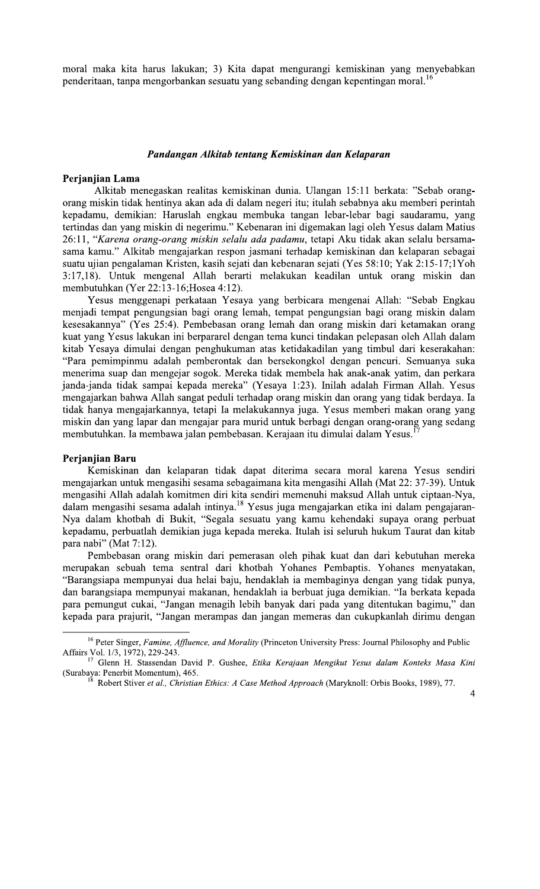moral maka kita harus lakukan; 3) Kita dapat mengurangi kemiskinan yang menyebabkan penderitaan, tanpa mengorbankan sesuatu yang sebanding dengan kepentingan moral.<sup>16</sup>

#### Pandangan Alkitab tentang Kemiskinan dan Kelaparan

#### Perjanjian Lama

Alkitab menegaskan realitas kemiskinan dunia. Ulangan 15:11 berkata: "Sebab orangorang miskin tidak hentinya akan ada di dalam negeri itu; itulah sebabnya aku memberi perintah kepadamu, demikian: Haruslah engkau membuka tangan lebar-lebar bagi saudaramu, yang tertindas dan yang miskin di negerimu." Kebenaran ini digemakan lagi oleh Yesus dalam Matius 26:11, "Karena orang-orang miskin selalu ada padamu, tetapi Aku tidak akan selalu bersamasama kamu." Alkitab mengajarkan respon jasmani terhadap kemiskinan dan kelaparan sebagai suatu ujian pengalaman Kristen, kasih sejati dan kebenaran sejati (Yes 58:10; Yak 2:15-17;1Yoh 3:17,18). Untuk mengenal Allah berarti melakukan keadilan untuk orang miskin dan membutuhkan (Yer 22:13-16; Hosea 4:12).

Yesus menggenapi perkataan Yesaya yang berbicara mengenai Allah: "Sebab Engkau menjadi tempat pengungsian bagi orang lemah, tempat pengungsian bagi orang miskin dalam kesesakannya" (Yes 25:4). Pembebasan orang lemah dan orang miskin dari ketamakan orang kuat yang Yesus lakukan ini berpararel dengan tema kunci tindakan pelepasan oleh Allah dalam kitab Yesaya dimulai dengan penghukuman atas ketidakadilan yang timbul dari keserakahan: "Para pemimpinmu adalah pemberontak dan bersekongkol dengan pencuri. Semuanya suka menerima suap dan mengejar sogok. Mereka tidak membela hak anak-anak yatim, dan perkara janda-janda tidak sampai kepada mereka" (Yesaya 1:23). Inilah adalah Firman Allah. Yesus mengajarkan bahwa Allah sangat peduli terhadap orang miskin dan orang yang tidak berdaya. Ia tidak hanya mengajarkannya, tetapi Ia melakukannya juga. Yesus memberi makan orang yang miskin dan yang lapar dan mengajar para murid untuk berbagi dengan orang-orang yang sedang membutuhkan. Ia membawa jalan pembebasan. Kerajaan itu dimulai dalam Yesus.

### Perjanjian Baru

Kemiskinan dan kelaparan tidak dapat diterima secara moral karena Yesus sendiri mengajarkan untuk mengasihi sesama sebagaimana kita mengasihi Allah (Mat 22: 37-39). Untuk mengasihi Allah adalah komitmen diri kita sendiri memenuhi maksud Allah untuk ciptaan-Nya, dalam mengasihi sesama adalah intinya.<sup>18</sup> Yesus juga mengajarkan etika ini dalam pengajaran-Nya dalam khotbah di Bukit, "Segala sesuatu yang kamu kehendaki supaya orang perbuat kepadamu, perbuatlah demikian juga kepada mereka. Itulah isi seluruh hukum Taurat dan kitab para nabi" (Mat 7:12).

Pembebasan orang miskin dari pemerasan oleh pihak kuat dan dari kebutuhan mereka merupakan sebuah tema sentral dari khotbah Yohanes Pembaptis. Yohanes menyatakan, "Barangsiapa mempunyai dua helai baju, hendaklah ia membaginya dengan yang tidak punya, dan barangsiapa mempunyai makanan, hendaklah ia berbuat juga demikian. "Ia berkata kepada para pemungut cukai, "Jangan menagih lebih banyak dari pada yang ditentukan bagimu," dan kepada para prajurit, "Jangan merampas dan jangan memeras dan cukupkanlah dirimu dengan

<sup>&</sup>lt;sup>16</sup> Peter Singer, Famine, Affluence, and Morality (Princeton University Press: Journal Philosophy and Public Affairs Vol. 1/3, 1972), 229-243.

Glenn H. Stassendan David P. Gushee, Etika Kerajaan Mengikut Yesus dalam Konteks Masa Kini (Surabaya: Penerbit Momentum), 465.

Robert Stiver et al., Christian Ethics: A Case Method Approach (Maryknoll: Orbis Books, 1989), 77.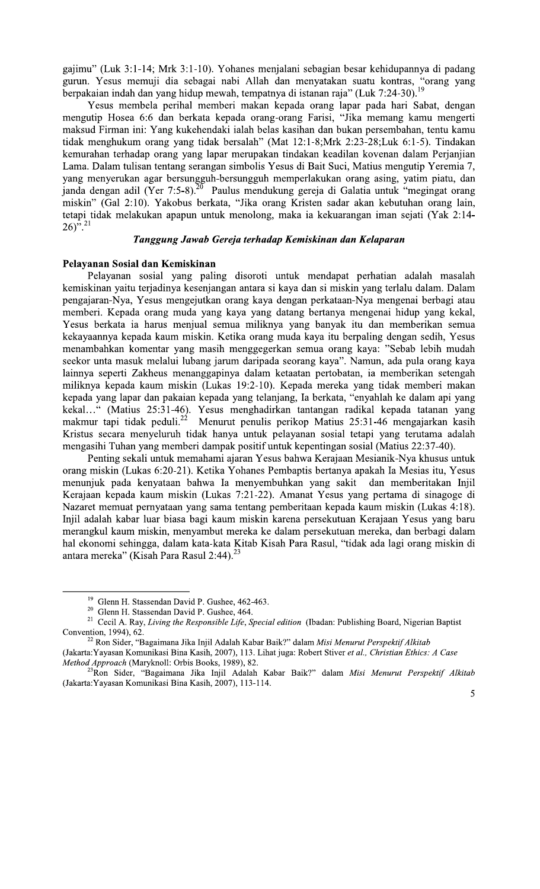gajimu" (Luk 3:1-14; Mrk 3:1-10). Yohanes menjalani sebagian besar kehidupannya di padang gurun. Yesus memuji dia sebagai nabi Allah dan menyatakan suatu kontras, "orang yang berpakaian indah dan yang hidup mewah, tempatnya di istanan raja" (Luk 7:24-30).<sup>19</sup>

Yesus membela perihal memberi makan kepada orang lapar pada hari Sabat, dengan mengutip Hosea 6:6 dan berkata kepada orang-orang Farisi, "Jika memang kamu mengerti maksud Firman ini: Yang kukehendaki ialah belas kasihan dan bukan persembahan, tentu kamu tidak menghukum orang yang tidak bersalah" (Mat 12:1-8;Mrk 2:23-28;Luk 6:1-5). Tindakan kemurahan terhadap orang yang lapar merupakan tindakan keadilan kovenan dalam Perjanjian Lama. Dalam tulisan tentang serangan simbolis Yesus di Bait Suci, Matius mengutip Yeremia 7, yang menyerukan agar bersungguh-bersungguh memperlakukan orang asing, yatim piatu, dan janda dengan adil (Yer 7:5-8).<sup>20</sup> Paulus mendukung gereja di Galatia untuk "megingat orang miskin" (Gal 2:10). Yakobus berkata, "Jika orang Kristen sadar akan kebutuhan orang lain, tetapi tidak melakukan apapun untuk menolong, maka ia kekuarangan iman sejati (Yak 2:14- $(26)^{7.21}$ 

## Tanggung Jawab Gereja terhadap Kemiskinan dan Kelaparan

#### Pelayanan Sosial dan Kemiskinan

Pelayanan sosial yang paling disoroti untuk mendapat perhatian adalah masalah kemiskinan yaitu terjadinya kesenjangan antara si kaya dan si miskin yang terlalu dalam. Dalam pengajaran-Nya, Yesus mengejutkan orang kaya dengan perkataan-Nya mengenai berbagi atau memberi. Kepada orang muda yang kaya yang datang bertanya mengenai hidup yang kekal, Yesus berkata ia harus menjual semua miliknya yang banyak itu dan memberikan semua kekayaannya kepada kaum miskin. Ketika orang muda kaya itu berpaling dengan sedih, Yesus menambahkan komentar yang masih menggegerkan semua orang kaya: "Sebab lebih mudah seekor unta masuk melalui lubang jarum daripada seorang kaya". Namun, ada pula orang kaya lainnya seperti Zakheus menanggapinya dalam ketaatan pertobatan, ia memberikan setengah miliknya kepada kaum miskin (Lukas 19:2-10). Kepada mereka yang tidak memberi makan kepada yang lapar dan pakaian kepada yang telanjang, Ia berkata, "enyahlah ke dalam api yang kekal..." (Matius 25:31-46). Yesus menghadirkan tantangan radikal kepada tatanan yang makmur tapi tidak peduli.<sup>22</sup> Menurut penulis perikop Matius 25:31-46 mengajarkan kasih Kristus secara menyeluruh tidak hanya untuk pelayanan sosial tetapi yang terutama adalah mengasihi Tuhan yang memberi dampak positif untuk kepentingan sosial (Matius 22:37-40).

Penting sekali untuk memahami ajaran Yesus bahwa Kerajaan Mesianik-Nya khusus untuk orang miskin (Lukas 6:20-21). Ketika Yohanes Pembaptis bertanya apakah Ia Mesias itu, Yesus menunjuk pada kenyataan bahwa Ia menyembuhkan yang sakit dan memberitakan Injil Kerajaan kepada kaum miskin (Lukas 7:21-22). Amanat Yesus yang pertama di sinagoge di Nazaret memuat pernyataan yang sama tentang pemberitaan kepada kaum miskin (Lukas 4:18). Injil adalah kabar luar biasa bagi kaum miskin karena persekutuan Kerajaan Yesus yang baru merangkul kaum miskin, menyambut mereka ke dalam persekutuan mereka, dan berbagi dalam hal ekonomi sehingga, dalam kata-kata Kitab Kisah Para Rasul, "tidak ada lagi orang miskin di antara mereka" (Kisah Para Rasul 2:44).<sup>23</sup>

<sup>&</sup>lt;sup>19</sup> Glenn H. Stassendan David P. Gushee, 462-463.

<sup>&</sup>lt;sup>20</sup> Glenn H. Stassendan David P. Gushee, 464.

<sup>&</sup>lt;sup>21</sup> Cecil A. Ray, Living the Responsible Life, Special edition (Ibadan: Publishing Board, Nigerian Baptist Convention, 1994), 62.

<sup>&</sup>lt;sup>22</sup> Ron Sider, "Bagaimana Jika Injil Adalah Kabar Baik?" dalam *Misi Menurut Perspektif Alkitab* 

<sup>(</sup>Jakarta: Yayasan Komunikasi Bina Kasih, 2007), 113. Lihat juga: Robert Stiver et al., Christian Ethics: A Case Method Approach (Maryknoll: Orbis Books, 1989), 82.<br><sup>23</sup>Ron Sider, "Bagaimana Jika Injil Adalah Kabar Baik?" dalam Misi Menurut Perspektif Alkitab

<sup>(</sup>Jakarta: Yayasan Komunikasi Bina Kasih, 2007), 113-114.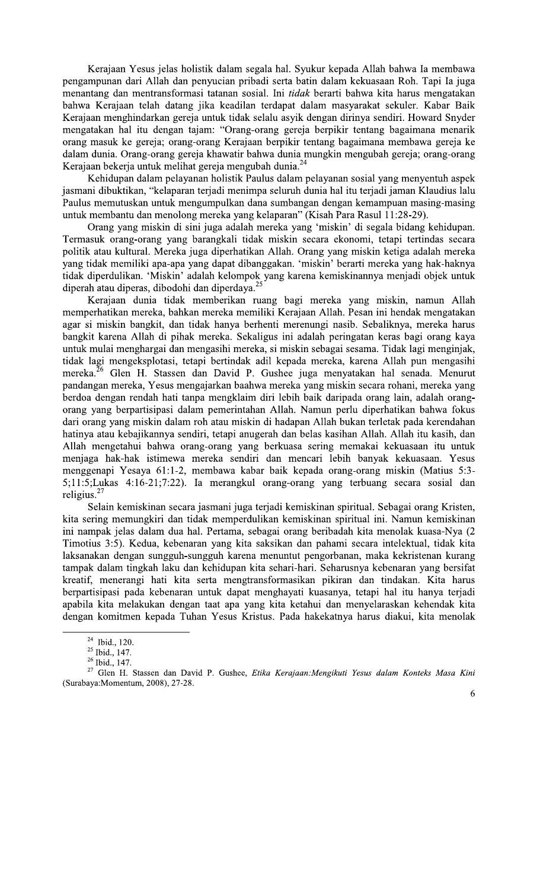Kerajaan Yesus jelas holistik dalam segala hal. Syukur kepada Allah bahwa Ia membawa pengampunan dari Allah dan penyucian pribadi serta batin dalam kekuasaan Roh. Tapi Ia juga menantang dan mentransformasi tatanan sosial. Ini tidak berarti bahwa kita harus mengatakan bahwa Kerajaan telah datang jika keadilan terdapat dalam masyarakat sekuler. Kabar Baik Kerajaan menghindarkan gereja untuk tidak selalu asyik dengan dirinya sendiri. Howard Snyder mengatakan hal itu dengan tajam: "Orang-orang gereja berpikir tentang bagaimana menarik orang masuk ke gereja; orang-orang Kerajaan berpikir tentang bagaimana membawa gereja ke dalam dunia. Orang-orang gereja khawatir bahwa dunia mungkin mengubah gereja; orang-orang Kerajaan bekerja untuk melihat gereja mengubah dunia.<sup>24</sup>

Kehidupan dalam pelayanan holistik Paulus dalam pelayanan sosial yang menyentuh aspek jasmani dibuktikan, "kelaparan terjadi menimpa seluruh dunia hal itu terjadi jaman Klaudius lalu Paulus memutuskan untuk mengumpulkan dana sumbangan dengan kemampuan masing-masing untuk membantu dan menolong mereka yang kelaparan" (Kisah Para Rasul 11:28-29).

Orang yang miskin di sini juga adalah mereka yang 'miskin' di segala bidang kehidupan. Termasuk orang-orang yang barangkali tidak miskin secara ekonomi, tetapi tertindas secara politik atau kultural. Mereka juga diperhatikan Allah. Orang yang miskin ketiga adalah mereka yang tidak memiliki apa-apa yang dapat dibanggakan. 'miskin' berarti mereka yang hak-haknya tidak diperdulikan. 'Miskin' adalah kelompok yang karena kemiskinannya menjadi objek untuk diperah atau diperas, dibodohi dan diperdaya.<sup>25</sup>

Kerajaan dunia tidak memberikan ruang bagi mereka yang miskin, namun Allah memperhatikan mereka, bahkan mereka memiliki Kerajaan Allah. Pesan ini hendak mengatakan agar si miskin bangkit, dan tidak hanya berhenti merenungi nasib. Sebaliknya, mereka harus bangkit karena Allah di pihak mereka. Sekaligus ini adalah peringatan keras bagi orang kaya untuk mulai menghargai dan mengasihi mereka, si miskin sebagai sesama. Tidak lagi menginjak, tidak lagi mengeksplotasi, tetapi bertindak adil kepada mereka, karena Allah pun mengasihi mereka.<sup>26</sup> Glen H. Stassen dan David P. Gushee juga menyatakan hal senada. Menurut pandangan mereka, Yesus mengajarkan baahwa mereka yang miskin secara rohani, mereka yang berdoa dengan rendah hati tanpa mengklaim diri lebih baik daripada orang lain, adalah orangorang yang berpartisipasi dalam pemerintahan Allah. Namun perlu diperhatikan bahwa fokus dari orang yang miskin dalam roh atau miskin di hadapan Allah bukan terletak pada kerendahan hatinya atau kebajikannya sendiri, tetapi anugerah dan belas kasihan Allah. Allah itu kasih, dan Allah mengetahui bahwa orang-orang yang berkuasa sering memakai kekuasaan itu untuk menjaga hak-hak istimewa mereka sendiri dan mencari lebih banyak kekuasaan. Yesus menggenapi Yesaya 61:1-2, membawa kabar baik kepada orang-orang miskin (Matius 5:3-5;11:5;Lukas 4:16-21;7:22). Ia merangkul orang-orang yang terbuang secara sosial dan religius. $^{2}$ 

Selain kemiskinan secara jasmani juga terjadi kemiskinan spiritual. Sebagai orang Kristen, kita sering memungkiri dan tidak memperdulikan kemiskinan spiritual ini. Namun kemiskinan ini nampak jelas dalam dua hal. Pertama, sebagai orang beribadah kita menolak kuasa-Nya (2 Timotius 3:5). Kedua, kebenaran yang kita saksikan dan pahami secara intelektual, tidak kita laksanakan dengan sungguh-sungguh karena menuntut pengorbanan, maka kekristenan kurang tampak dalam tingkah laku dan kehidupan kita sehari-hari. Seharusnya kebenaran yang bersifat kreatif, menerangi hati kita serta mengtransformasikan pikiran dan tindakan. Kita harus berpartisipasi pada kebenaran untuk dapat menghayati kuasanya, tetapi hal itu hanya terjadi apabila kita melakukan dengan taat apa yang kita ketahui dan menyelaraskan kehendak kita dengan komitmen kepada Tuhan Yesus Kristus. Pada hakekatnya harus diakui, kita menolak

 $24$  Ibid., 120.

<sup>&</sup>lt;sup>25</sup> Ibid., 147.

<sup>&</sup>lt;sup>26</sup> Ibid., 147.

<sup>&</sup>lt;sup>27</sup> Glen H. Stassen dan David P. Gushee, Etika Kerajaan: Mengikuti Yesus dalam Konteks Masa Kini (Surabaya:Momentum, 2008), 27-28.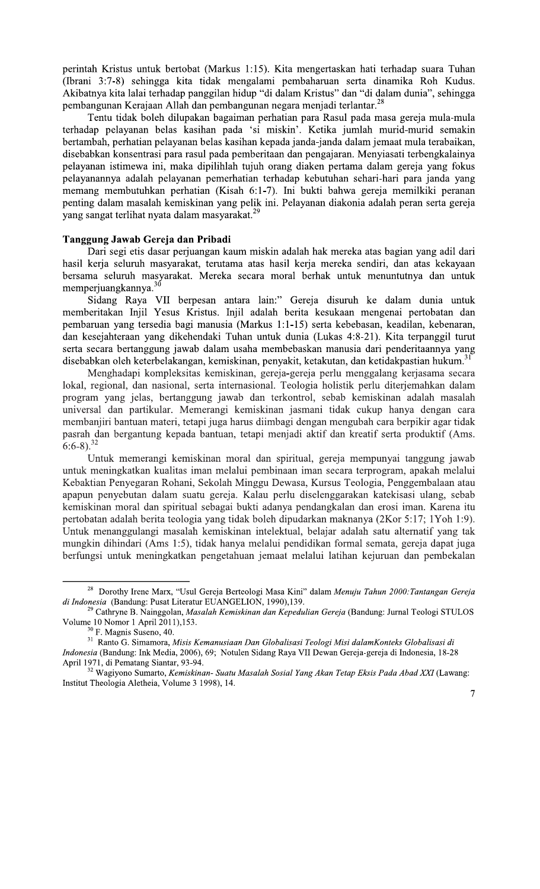perintah Kristus untuk bertobat (Markus 1:15). Kita mengertaskan hati terhadap suara Tuhan (Ibrani 3:7-8) sehingga kita tidak mengalami pembaharuan serta dinamika Roh Kudus. Akibatnya kita lalai terhadap panggilan hidup "di dalam Kristus" dan "di dalam dunia", sehingga pembangunan Kerajaan Allah dan pembangunan negara menjadi terlantar.<sup>28</sup>

Tentu tidak boleh dilupakan bagaiman perhatian para Rasul pada masa gereja mula-mula terhadap pelayanan belas kasihan pada 'si miskin'. Ketika jumlah murid-murid semakin bertambah, perhatian pelayanan belas kasihan kepada janda-janda dalam jemaat mula terabaikan, disebabkan konsentrasi para rasul pada pemberitaan dan pengajaran. Menyiasati terbengkalainya pelayanan istimewa ini, maka dipilihlah tujuh orang diaken pertama dalam gereja yang fokus pelayanannya adalah pelayanan pemerhatian terhadap kebutuhan sehari-hari para janda yang memang membutuhkan perhatian (Kisah 6:1-7). Ini bukti bahwa gereja memilkiki peranan penting dalam masalah kemiskinan yang pelik ini. Pelayanan diakonia adalah peran serta gereja yang sangat terlihat nyata dalam masyarakat.<sup>2</sup>

### Tanggung Jawab Gereja dan Pribadi

Dari segi etis dasar perjuangan kaum miskin adalah hak mereka atas bagian yang adil dari hasil kerja seluruh masyarakat, terutama atas hasil kerja mereka sendiri, dan atas kekayaan bersama seluruh masyarakat. Mereka secara moral berhak untuk menuntutnya dan untuk memperjuangkannya.<sup>30</sup>

Sidang Raya VII berpesan antara lain:" Gereja disuruh ke dalam dunia untuk memberitakan Injil Yesus Kristus. Injil adalah berita kesukaan mengenai pertobatan dan pembaruan yang tersedia bagi manusia (Markus 1:1-15) serta kebebasan, keadilan, kebenaran, dan kesejahteraan yang dikehendaki Tuhan untuk dunia (Lukas 4:8-21). Kita terpanggil turut serta secara bertanggung jawab dalam usaha membebaskan manusia dari penderitaannya yang disebabkan oleh keterbelakangan, kemiskinan, penyakit, ketakutan, dan ketidakpastian hukum.<sup>31</sup>

Menghadapi kompleksitas kemiskinan, gereja-gereja perlu menggalang kerjasama secara lokal, regional, dan nasional, serta internasional. Teologia holistik perlu diterjemahkan dalam program yang jelas, bertanggung jawab dan terkontrol, sebab kemiskinan adalah masalah universal dan partikular. Memerangi kemiskinan jasmani tidak cukup hanya dengan cara membanjiri bantuan materi, tetapi juga harus diimbagi dengan mengubah cara berpikir agar tidak pasrah dan bergantung kepada bantuan, tetapi menjadi aktif dan kreatif serta produktif (Ams.  $6:6-8$ ).<sup>32</sup>

Untuk memerangi kemiskinan moral dan spiritual, gereja mempunyai tanggung jawab untuk meningkatkan kualitas iman melalui pembinaan iman secara terprogram, apakah melalui Kebaktian Penyegaran Rohani, Sekolah Minggu Dewasa, Kursus Teologia, Penggembalaan atau apapun penyebutan dalam suatu gereja. Kalau perlu diselenggarakan katekisasi ulang, sebab kemiskinan moral dan spiritual sebagai bukti adanya pendangkalan dan erosi iman. Karena itu pertobatan adalah berita teologia yang tidak boleh dipudarkan maknanya (2Kor 5:17; 1Yoh 1:9). Untuk menanggulangi masalah kemiskinan intelektual, belajar adalah satu alternatif yang tak mungkin dihindari (Ams 1:5), tidak hanya melalui pendidikan formal semata, gereja dapat juga berfungsi untuk meningkatkan pengetahuan jemaat melalui latihan kejuruan dan pembekalan

<sup>&</sup>lt;sup>28</sup> Dorothy Irene Marx, "Usul Gereja Berteologi Masa Kini" dalam Menuju Tahun 2000: Tantangan Gereja di Indonesia (Bandung: Pusat Literatur EUANGELION, 1990),139.

<sup>&</sup>lt;sup>29</sup> Cathryne B. Nainggolan, *Masalah Kemiskinan dan Kepedulian Gereja* (Bandung: Jurnal Teologi STULOS Volume 10 Nomor 1 April 2011), 153.

<sup>&</sup>lt;sup>30</sup> F. Magnis Suseno, 40.

<sup>&</sup>lt;sup>31</sup> Ranto G. Simamora, Misis Kemanusiaan Dan Globalisasi Teologi Misi dalamKonteks Globalisasi di Indonesia (Bandung: Ink Media, 2006), 69; Notulen Sidang Raya VII Dewan Gereja-gereja di Indonesia, 18-28

April 1971, di Pematang Siantar, 93-94.

<sup>&</sup>lt;sup>57</sup>1, di Lemaning Standa, 757 : ..<br><sup>32</sup> Wagiyono Sumarto, *Kemiskinan- Suatu Masalah Sosial Yang Akan Tetap Eksis Pada Abad XXI* (Lawang: Institut Theologia Aletheia, Volume 3 1998), 14.